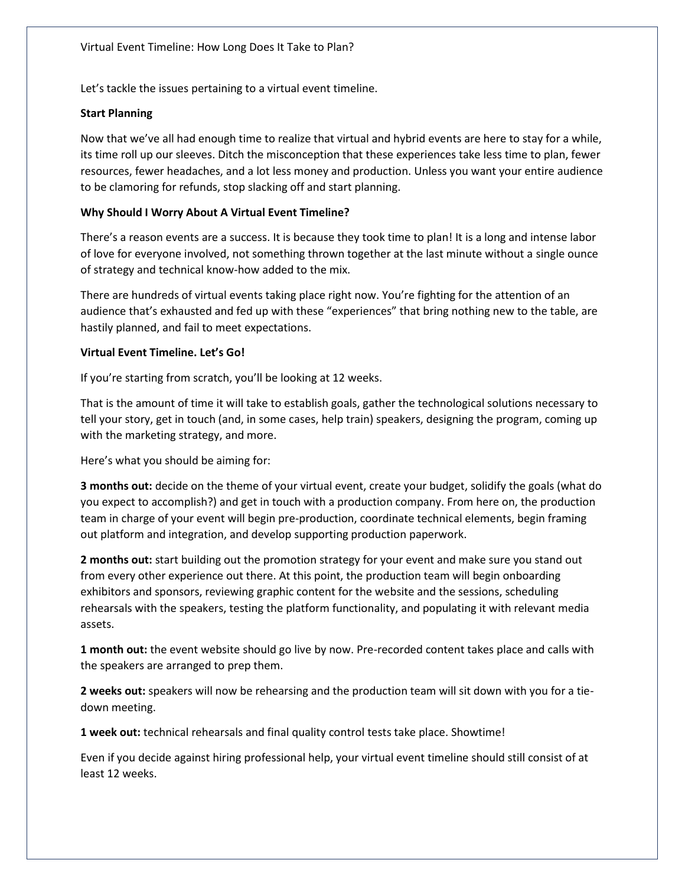Let's tackle the issues pertaining to a virtual event timeline.

## **Start Planning**

Now that we've all had enough time to realize that virtual and hybrid events are here to stay for a while, its time roll up our sleeves. Ditch the misconception that these experiences take less time to plan, fewer resources, fewer headaches, and a lot less money and production. Unless you want your entire audience to be clamoring for refunds, stop slacking off and start planning.

## **Why Should I Worry About A Virtual Event Timeline?**

There's a reason events are a success. It is because they took time to plan! It is a long and intense labor of love for everyone involved, not something thrown together at the last minute without a single ounce of strategy and technical know-how added to the mix.

There are hundreds of virtual events taking place right now. You're fighting for the attention of an audience that's exhausted and fed up with these "experiences" that bring nothing new to the table, are hastily planned, and fail to meet expectations.

## **Virtual Event Timeline. Let's Go!**

If you're starting from scratch, you'll be looking at 12 weeks.

That is the amount of time it will take to establish goals, gather the technological solutions necessary to tell your story, get in touch (and, in some cases, help train) speakers, designing the program, coming up with the marketing strategy, and more.

Here's what you should be aiming for:

**3 months out:** decide on the theme of your virtual event, create your budget, solidify the goals (what do you expect to accomplish?) and get in touch with a production company. From here on, the production team in charge of your event will begin pre-production, coordinate technical elements, begin framing out platform and integration, and develop supporting production paperwork.

**2 months out:** start building out the promotion strategy for your event and make sure you stand out from every other experience out there. At this point, the production team will begin onboarding exhibitors and sponsors, reviewing graphic content for the website and the sessions, scheduling rehearsals with the speakers, testing the platform functionality, and populating it with relevant media assets.

**1 month out:** the event website should go live by now. Pre-recorded content takes place and calls with the speakers are arranged to prep them.

**2 weeks out:** speakers will now be rehearsing and the production team will sit down with you for a tiedown meeting.

**1 week out:** technical rehearsals and final quality control tests take place. Showtime!

Even if you decide against hiring professional help, your virtual event timeline should still consist of at least 12 weeks.